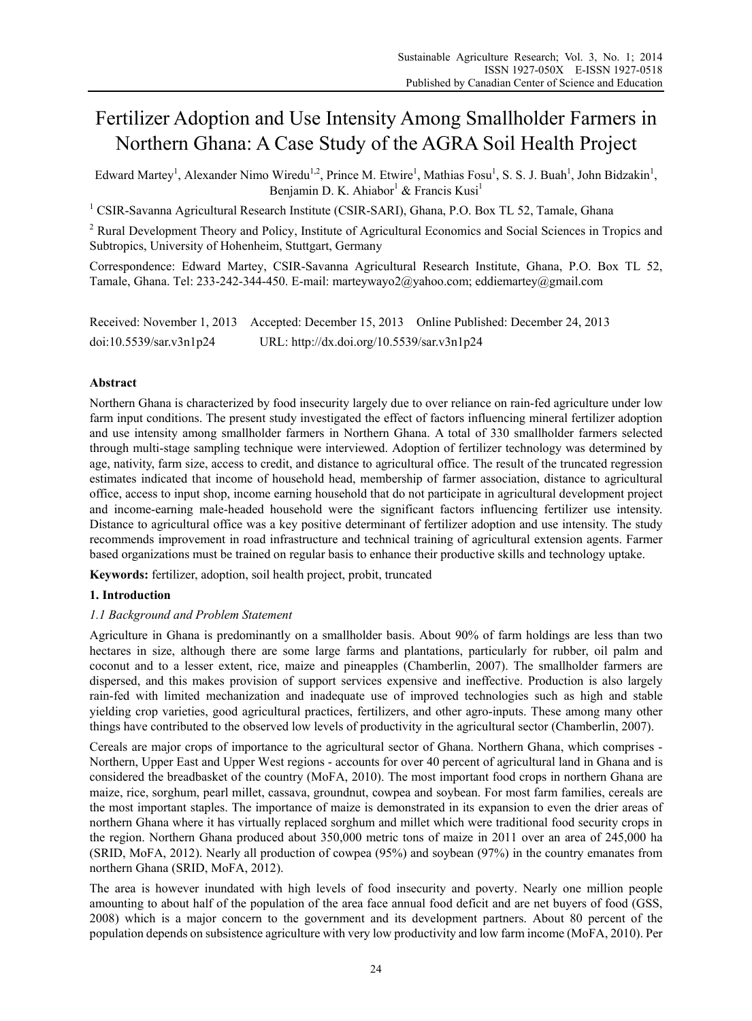# Fertilizer Adoption and Use Intensity Among Smallholder Farmers in Northern Ghana: A Case Study of the AGRA Soil Health Project

Edward Martey<sup>1</sup>, Alexander Nimo Wiredu<sup>1,2</sup>, Prince M. Etwire<sup>1</sup>, Mathias Fosu<sup>1</sup>, S. S. J. Buah<sup>1</sup>, John Bidzakin<sup>1</sup>, Benjamin D. K. Ahiabor<sup>1</sup> & Francis Kusi<sup>1</sup>

<sup>1</sup> CSIR-Savanna Agricultural Research Institute (CSIR-SARI), Ghana, P.O. Box TL 52, Tamale, Ghana

<sup>2</sup> Rural Development Theory and Policy, Institute of Agricultural Economics and Social Sciences in Tropics and Subtropics, University of Hohenheim, Stuttgart, Germany

Correspondence: Edward Martey, CSIR-Savanna Agricultural Research Institute, Ghana, P.O. Box TL 52, Tamale, Ghana. Tel: 233-242-344-450. E-mail: marteywayo2@yahoo.com; eddiemartey@gmail.com

Received: November 1, 2013 Accepted: December 15, 2013 Online Published: December 24, 2013 doi:10.5539/sar.v3n1p24 URL: http://dx.doi.org/10.5539/sar.v3n1p24

## **Abstract**

Northern Ghana is characterized by food insecurity largely due to over reliance on rain-fed agriculture under low farm input conditions. The present study investigated the effect of factors influencing mineral fertilizer adoption and use intensity among smallholder farmers in Northern Ghana. A total of 330 smallholder farmers selected through multi-stage sampling technique were interviewed. Adoption of fertilizer technology was determined by age, nativity, farm size, access to credit, and distance to agricultural office. The result of the truncated regression estimates indicated that income of household head, membership of farmer association, distance to agricultural office, access to input shop, income earning household that do not participate in agricultural development project and income-earning male-headed household were the significant factors influencing fertilizer use intensity. Distance to agricultural office was a key positive determinant of fertilizer adoption and use intensity. The study recommends improvement in road infrastructure and technical training of agricultural extension agents. Farmer based organizations must be trained on regular basis to enhance their productive skills and technology uptake.

**Keywords:** fertilizer, adoption, soil health project, probit, truncated

## **1. Introduction**

## *1.1 Background and Problem Statement*

Agriculture in Ghana is predominantly on a smallholder basis. About 90% of farm holdings are less than two hectares in size, although there are some large farms and plantations, particularly for rubber, oil palm and coconut and to a lesser extent, rice, maize and pineapples (Chamberlin, 2007). The smallholder farmers are dispersed, and this makes provision of support services expensive and ineffective. Production is also largely rain-fed with limited mechanization and inadequate use of improved technologies such as high and stable yielding crop varieties, good agricultural practices, fertilizers, and other agro-inputs. These among many other things have contributed to the observed low levels of productivity in the agricultural sector (Chamberlin, 2007).

Cereals are major crops of importance to the agricultural sector of Ghana. Northern Ghana, which comprises - Northern, Upper East and Upper West regions - accounts for over 40 percent of agricultural land in Ghana and is considered the breadbasket of the country (MoFA, 2010). The most important food crops in northern Ghana are maize, rice, sorghum, pearl millet, cassava, groundnut, cowpea and soybean. For most farm families, cereals are the most important staples. The importance of maize is demonstrated in its expansion to even the drier areas of northern Ghana where it has virtually replaced sorghum and millet which were traditional food security crops in the region. Northern Ghana produced about 350,000 metric tons of maize in 2011 over an area of 245,000 ha (SRID, MoFA, 2012). Nearly all production of cowpea (95%) and soybean (97%) in the country emanates from northern Ghana (SRID, MoFA, 2012).

The area is however inundated with high levels of food insecurity and poverty. Nearly one million people amounting to about half of the population of the area face annual food deficit and are net buyers of food (GSS, 2008) which is a major concern to the government and its development partners. About 80 percent of the population depends on subsistence agriculture with very low productivity and low farm income (MoFA, 2010). Per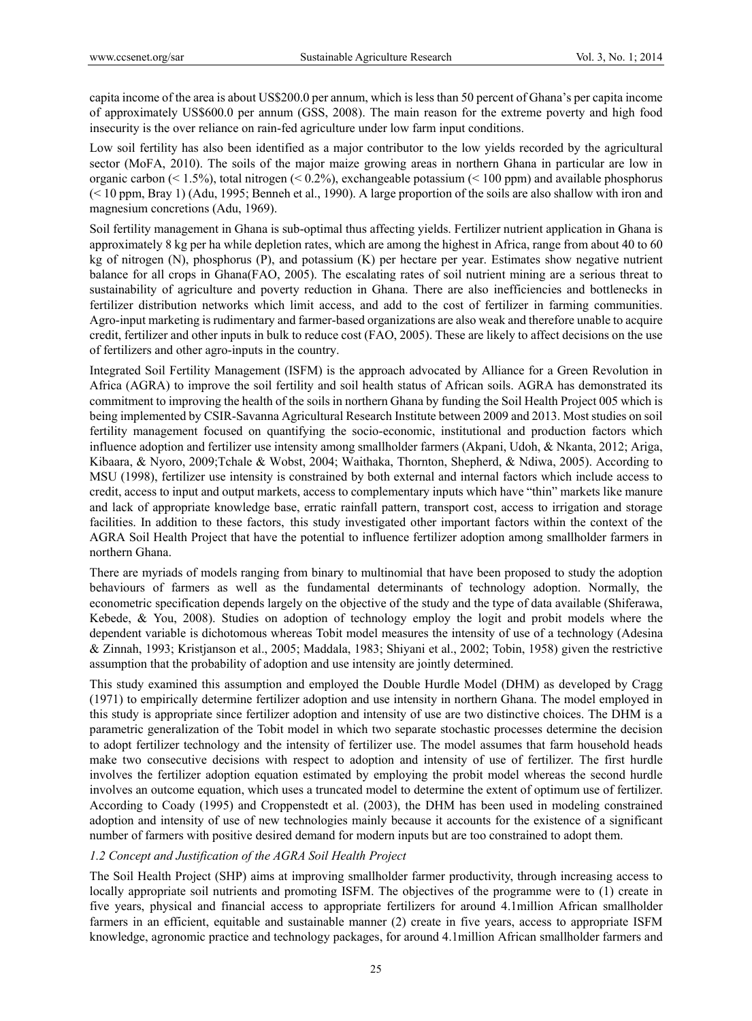capita income of the area is about US\$200.0 per annum, which is less than 50 percent of Ghana's per capita income of approximately US\$600.0 per annum (GSS, 2008). The main reason for the extreme poverty and high food insecurity is the over reliance on rain-fed agriculture under low farm input conditions.

Low soil fertility has also been identified as a major contributor to the low yields recorded by the agricultural sector (MoFA, 2010). The soils of the major maize growing areas in northern Ghana in particular are low in organic carbon (< 1.5%), total nitrogen (< 0.2%), exchangeable potassium (< 100 ppm) and available phosphorus (< 10 ppm, Bray 1) (Adu, 1995; Benneh et al., 1990). A large proportion of the soils are also shallow with iron and magnesium concretions (Adu, 1969).

Soil fertility management in Ghana is sub-optimal thus affecting yields. Fertilizer nutrient application in Ghana is approximately 8 kg per ha while depletion rates, which are among the highest in Africa, range from about 40 to 60 kg of nitrogen (N), phosphorus (P), and potassium (K) per hectare per year. Estimates show negative nutrient balance for all crops in Ghana(FAO, 2005). The escalating rates of soil nutrient mining are a serious threat to sustainability of agriculture and poverty reduction in Ghana. There are also inefficiencies and bottlenecks in fertilizer distribution networks which limit access, and add to the cost of fertilizer in farming communities. Agro-input marketing is rudimentary and farmer-based organizations are also weak and therefore unable to acquire credit, fertilizer and other inputs in bulk to reduce cost (FAO, 2005). These are likely to affect decisions on the use of fertilizers and other agro-inputs in the country.

Integrated Soil Fertility Management (ISFM) is the approach advocated by Alliance for a Green Revolution in Africa (AGRA) to improve the soil fertility and soil health status of African soils. AGRA has demonstrated its commitment to improving the health of the soils in northern Ghana by funding the Soil Health Project 005 which is being implemented by CSIR-Savanna Agricultural Research Institute between 2009 and 2013. Most studies on soil fertility management focused on quantifying the socio-economic, institutional and production factors which influence adoption and fertilizer use intensity among smallholder farmers (Akpani, Udoh, & Nkanta, 2012; Ariga, Kibaara, & Nyoro, 2009;Tchale & Wobst, 2004; Waithaka, Thornton, Shepherd, & Ndiwa, 2005). According to MSU (1998), fertilizer use intensity is constrained by both external and internal factors which include access to credit, access to input and output markets, access to complementary inputs which have "thin" markets like manure and lack of appropriate knowledge base, erratic rainfall pattern, transport cost, access to irrigation and storage facilities. In addition to these factors, this study investigated other important factors within the context of the AGRA Soil Health Project that have the potential to influence fertilizer adoption among smallholder farmers in northern Ghana.

There are myriads of models ranging from binary to multinomial that have been proposed to study the adoption behaviours of farmers as well as the fundamental determinants of technology adoption. Normally, the econometric specification depends largely on the objective of the study and the type of data available (Shiferawa, Kebede, & You, 2008). Studies on adoption of technology employ the logit and probit models where the dependent variable is dichotomous whereas Tobit model measures the intensity of use of a technology (Adesina & Zinnah, 1993; Kristjanson et al., 2005; Maddala, 1983; Shiyani et al., 2002; Tobin, 1958) given the restrictive assumption that the probability of adoption and use intensity are jointly determined.

This study examined this assumption and employed the Double Hurdle Model (DHM) as developed by Cragg (1971) to empirically determine fertilizer adoption and use intensity in northern Ghana. The model employed in this study is appropriate since fertilizer adoption and intensity of use are two distinctive choices. The DHM is a parametric generalization of the Tobit model in which two separate stochastic processes determine the decision to adopt fertilizer technology and the intensity of fertilizer use. The model assumes that farm household heads make two consecutive decisions with respect to adoption and intensity of use of fertilizer. The first hurdle involves the fertilizer adoption equation estimated by employing the probit model whereas the second hurdle involves an outcome equation, which uses a truncated model to determine the extent of optimum use of fertilizer. According to Coady (1995) and Croppenstedt et al. (2003), the DHM has been used in modeling constrained adoption and intensity of use of new technologies mainly because it accounts for the existence of a significant number of farmers with positive desired demand for modern inputs but are too constrained to adopt them.

#### *1.2 Concept and Justification of the AGRA Soil Health Project*

The Soil Health Project (SHP) aims at improving smallholder farmer productivity, through increasing access to locally appropriate soil nutrients and promoting ISFM. The objectives of the programme were to (1) create in five years, physical and financial access to appropriate fertilizers for around 4.1million African smallholder farmers in an efficient, equitable and sustainable manner (2) create in five years, access to appropriate ISFM knowledge, agronomic practice and technology packages, for around 4.1million African smallholder farmers and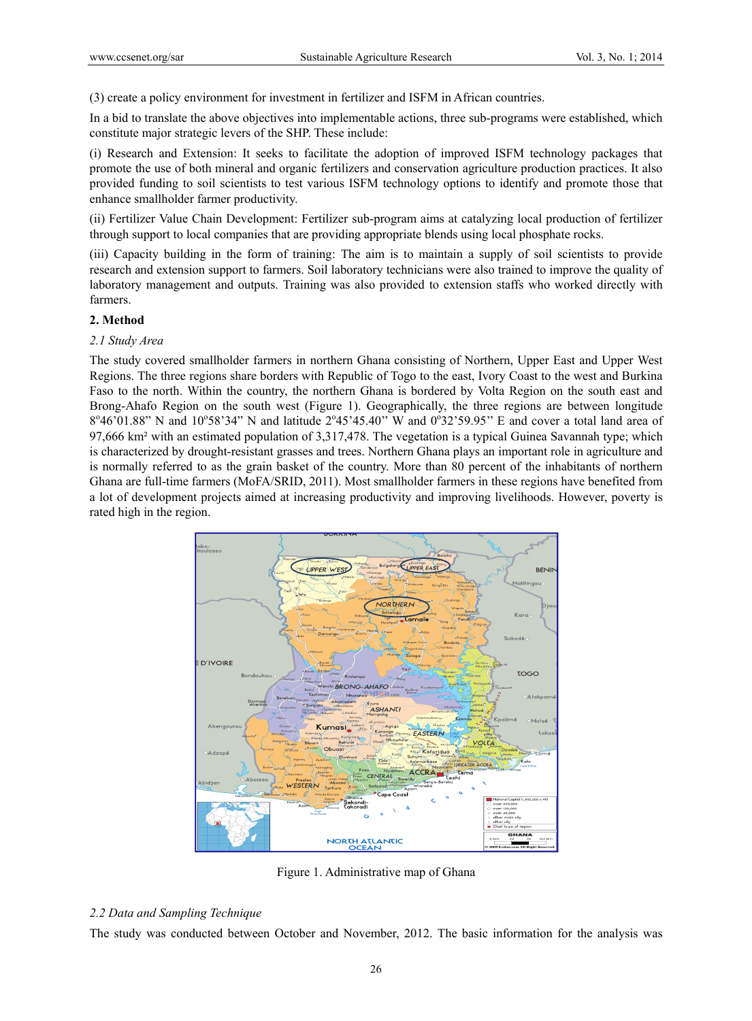(3) create a policy environment for investment in fertilizer and ISFM in African countries.

In a bid to translate the above objectives into implementable actions, three sub-programs were established, which constitute major strategic levers of the SHP. These include:

(i) Research and Extension: It seeks to facilitate the adoption of improved ISFM technology packages that promote the use of both mineral and organic fertilizers and conservation agriculture production practices. It also provided funding to soil scientists to test various ISFM technology options to identify and promote those that enhance smallholder farmer productivity.

(ii) Fertilizer Value Chain Development: Fertilizer sub-program aims at catalyzing local production of fertilizer through support to local companies that are providing appropriate blends using local phosphate rocks.

(iii) Capacity building in the form of training: The aim is to maintain a supply of soil scientists to provide research and extension support to farmers. Soil laboratory technicians were also trained to improve the quality of laboratory management and outputs. Training was also provided to extension staffs who worked directly with farmers.

## **2. Method**

## *2.1 Study Area*

The study covered smallholder farmers in northern Ghana consisting of Northern, Upper East and Upper West Regions. The three regions share borders with Republic of Togo to the east, Ivory Coast to the west and Burkina Faso to the north. Within the country, the northern Ghana is bordered by Volta Region on the south east and Brong-Ahafo Region on the south west (Figure 1). Geographically, the three regions are between longitude 8°46'01.88" N and 10°58'34" N and latitude 2°45'45.40" W and 0°32'59.95" E and cover a total land area of 97,666 km² with an estimated population of 3,317,478. The vegetation is a typical Guinea Savannah type; which is characterized by drought-resistant grasses and trees. Northern Ghana plays an important role in agriculture and is normally referred to as the grain basket of the country. More than 80 percent of the inhabitants of northern Ghana are full-time farmers (MoFA/SRID, 2011). Most smallholder farmers in these regions have benefited from a lot of development projects aimed at increasing productivity and improving livelihoods. However, poverty is rated high in the region.



Figure 1. Administrative map of Ghana

## *2.2 Data and Sampling Technique*

The study was conducted between October and November, 2012. The basic information for the analysis was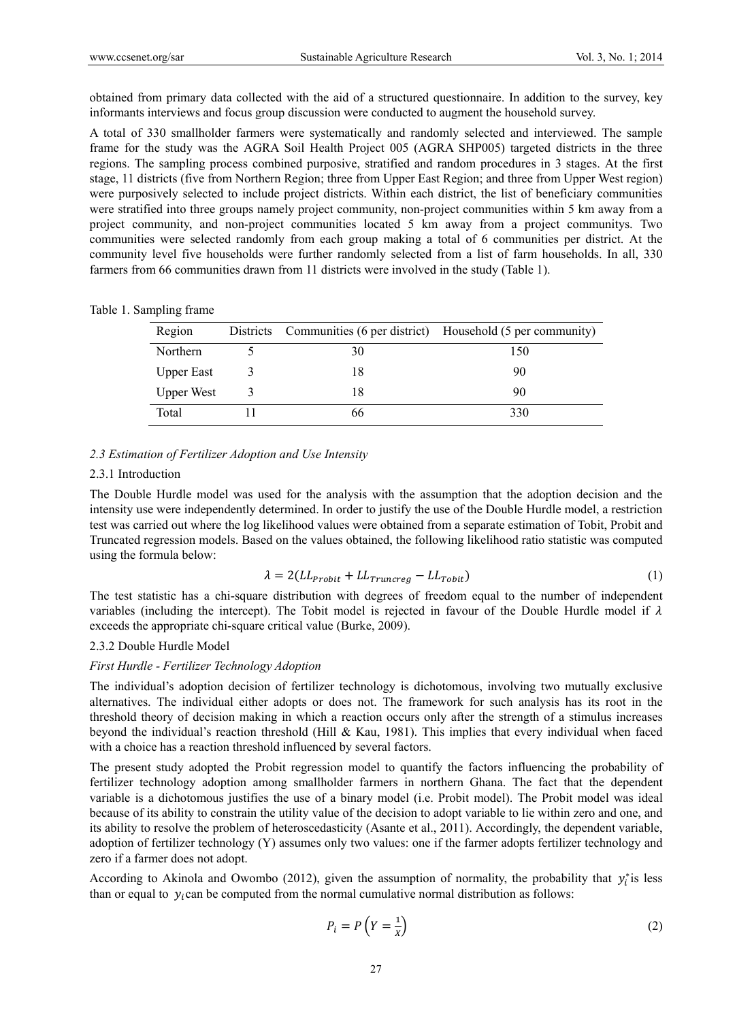obtained from primary data collected with the aid of a structured questionnaire. In addition to the survey, key informants interviews and focus group discussion were conducted to augment the household survey.

A total of 330 smallholder farmers were systematically and randomly selected and interviewed. The sample frame for the study was the AGRA Soil Health Project 005 (AGRA SHP005) targeted districts in the three regions. The sampling process combined purposive, stratified and random procedures in 3 stages. At the first stage, 11 districts (five from Northern Region; three from Upper East Region; and three from Upper West region) were purposively selected to include project districts. Within each district, the list of beneficiary communities were stratified into three groups namely project community, non-project communities within 5 km away from a project community, and non-project communities located 5 km away from a project communitys. Two communities were selected randomly from each group making a total of 6 communities per district. At the community level five households were further randomly selected from a list of farm households. In all, 330 farmers from 66 communities drawn from 11 districts were involved in the study (Table 1).

Table 1. Sampling frame

| Region            | Districts |    | Communities (6 per district) Household (5 per community) |
|-------------------|-----------|----|----------------------------------------------------------|
| Northern          |           | 30 | 150                                                      |
| <b>Upper East</b> |           | 18 | 90                                                       |
| <b>Upper West</b> |           | 18 | 90                                                       |
| Total             |           | 66 | 330                                                      |

#### *2.3 Estimation of Fertilizer Adoption and Use Intensity*

## 2.3.1 Introduction

The Double Hurdle model was used for the analysis with the assumption that the adoption decision and the intensity use were independently determined. In order to justify the use of the Double Hurdle model, a restriction test was carried out where the log likelihood values were obtained from a separate estimation of Tobit, Probit and Truncated regression models. Based on the values obtained, the following likelihood ratio statistic was computed using the formula below:

$$
\lambda = 2(LL_{Probit} + LL_{Truncreg} - LL_{Tobit})\tag{1}
$$

The test statistic has a chi-square distribution with degrees of freedom equal to the number of independent variables (including the intercept). The Tobit model is rejected in favour of the Double Hurdle model if  $\lambda$ exceeds the appropriate chi-square critical value (Burke, 2009).

#### 2.3.2 Double Hurdle Model

#### *First Hurdle - Fertilizer Technology Adoption*

The individual's adoption decision of fertilizer technology is dichotomous, involving two mutually exclusive alternatives. The individual either adopts or does not. The framework for such analysis has its root in the threshold theory of decision making in which a reaction occurs only after the strength of a stimulus increases beyond the individual's reaction threshold (Hill & Kau, 1981). This implies that every individual when faced with a choice has a reaction threshold influenced by several factors.

The present study adopted the Probit regression model to quantify the factors influencing the probability of fertilizer technology adoption among smallholder farmers in northern Ghana. The fact that the dependent variable is a dichotomous justifies the use of a binary model (i.e. Probit model). The Probit model was ideal because of its ability to constrain the utility value of the decision to adopt variable to lie within zero and one, and its ability to resolve the problem of heteroscedasticity (Asante et al., 2011). Accordingly, the dependent variable, adoption of fertilizer technology (Y) assumes only two values: one if the farmer adopts fertilizer technology and zero if a farmer does not adopt.

According to Akinola and Owombo (2012), given the assumption of normality, the probability that  $y_i^*$  is less than or equal to  $y_i$  can be computed from the normal cumulative normal distribution as follows:

$$
P_i = P\left(Y = \frac{1}{x}\right) \tag{2}
$$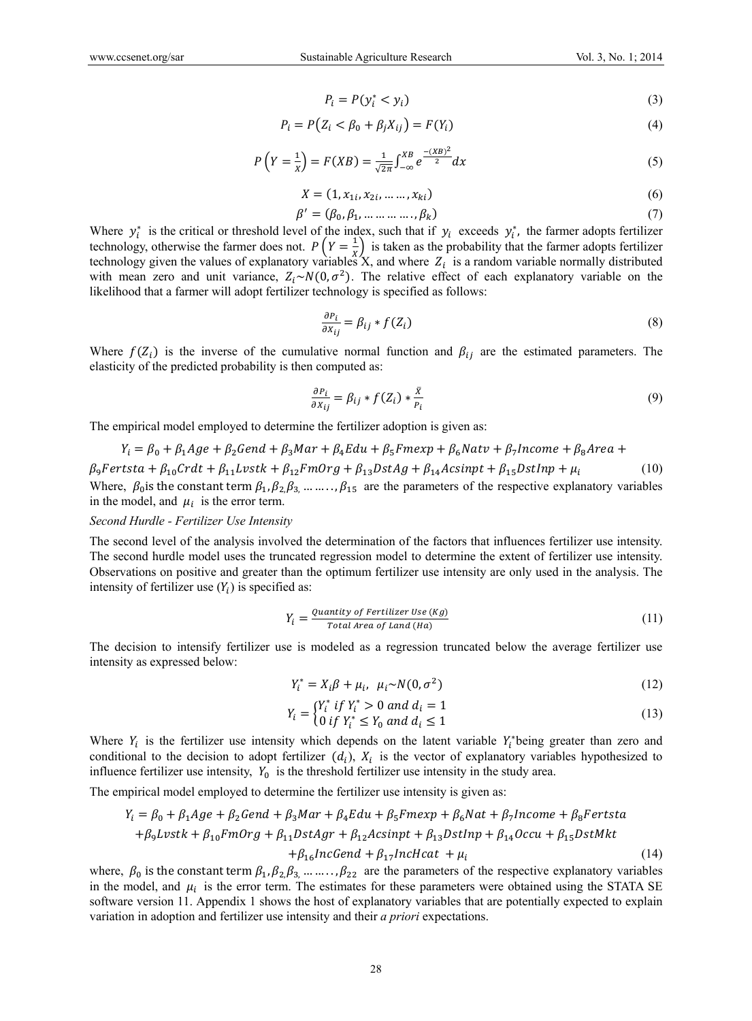$$
P_i = P(y_i^* < y_i) \tag{3}
$$

$$
P_i = P(Z_i < \beta_0 + \beta_j X_{ij}) = F(Y_i) \tag{4}
$$

$$
P(Y = \frac{1}{x}) = F(XB) = \frac{1}{\sqrt{2\pi}} \int_{-\infty}^{XB} e^{\frac{-(XB)^2}{2}} dx
$$
 (5)

$$
X = (1, x_{1i}, x_{2i}, \dots, x_{ki})
$$
 (6)

$$
\beta' = (\beta_0, \beta_1, \dots \dots \dots \dots, \beta_k) \tag{7}
$$

Where  $y_i^*$  is the critical or threshold level of the index, such that if  $y_i$  exceeds  $y_i^*$ , the farmer adopts fertilizer technology, otherwise the farmer does not.  $P(Y = \frac{1}{x})$  is taken as the probability that the farmer adopts fertilizer technology given the values of explanatory variables X, and where  $Z_i$  is a random variable normally distributed with mean zero and unit variance,  $Z_i \sim N(0, \sigma^2)$ . The relative effect of each explanatory variable on the likelihood that a farmer will adopt fertilizer technology is specified as follows:

$$
\frac{\partial P_i}{\partial x_{ij}} = \beta_{ij} * f(Z_i)
$$
 (8)

Where  $f(Z_i)$  is the inverse of the cumulative normal function and  $\beta_{ij}$  are the estimated parameters. The elasticity of the predicted probability is then computed as:

$$
\frac{\partial P_i}{\partial x_{ij}} = \beta_{ij} * f(Z_i) * \frac{\bar{x}}{P_i}
$$
\n(9)

The empirical model employed to determine the fertilizer adoption is given as:

$$
Y_i = \beta_0 + \beta_1 Age + \beta_2 Gend + \beta_3 Mar + \beta_4 Edu + \beta_5 Fmexp + \beta_6 Natv + \beta_7 Income + \beta_8 Area +
$$

 $\beta_9$  Fertsta +  $\beta_{10}$ Crdt +  $\beta_{11}$ Lvstk +  $\beta_{12}$ FmOrg +  $\beta_{13}$ DstAg +  $\beta_{14}$ Acsinpt +  $\beta_{15}$ DstInp +  $\mu_i$  (10) Where,  $\beta_0$  is the constant term  $\beta_1, \beta_2, \beta_3, \dots, \beta_{15}$  are the parameters of the respective explanatory variables in the model, and  $\mu_i$  is the error term.

#### *Second Hurdle - Fertilizer Use Intensity*

The second level of the analysis involved the determination of the factors that influences fertilizer use intensity. The second hurdle model uses the truncated regression model to determine the extent of fertilizer use intensity. Observations on positive and greater than the optimum fertilizer use intensity are only used in the analysis. The intensity of fertilizer use  $(Y_i)$  is specified as:

$$
Y_i = \frac{Quantity \ of \ Fertilizer \ Use \ (Kg)}{Total \ Area \ of \ Land \ (Ha)} \tag{11}
$$

The decision to intensify fertilizer use is modeled as a regression truncated below the average fertilizer use intensity as expressed below:

$$
Y_i^* = X_i \beta + \mu_i, \ \mu_i \sim N(0, \sigma^2)
$$
 (12)

$$
Y_i = \begin{cases} Y_i^* & \text{if } Y_i^* > 0 \text{ and } d_i = 1\\ 0 & \text{if } Y_i^* \le Y_0 \text{ and } d_i \le 1 \end{cases} \tag{13}
$$

Where  $Y_i$  is the fertilizer use intensity which depends on the latent variable  $Y_i^*$  being greater than zero and conditional to the decision to adopt fertilizer  $(d_i)$ ,  $X_i$  is the vector of explanatory variables hypothesized to influence fertilizer use intensity,  $Y_0$  is the threshold fertilizer use intensity in the study area.

The empirical model employed to determine the fertilizer use intensity is given as:

$$
Y_i = \beta_0 + \beta_1 Age + \beta_2 Gend + \beta_3 Mar + \beta_4 Edu + \beta_5 Fmexp + \beta_6 Nat + \beta_7 Income + \beta_8 Fertsta
$$
  
+
$$
\beta_9 Lvstk + \beta_{10} FmOrg + \beta_{11} DstAgr + \beta_{12} Acsinpt + \beta_{13} DstInp + \beta_{14} Occu + \beta_{15} DstMkt
$$
  
+
$$
\beta_{16} IncGend + \beta_{17} IncHcat + \mu_i
$$
 (14)

where,  $\beta_0$  is the constant term  $\beta_1$ ,  $\beta_2$ ,  $\beta_3$ , … …..,  $\beta_{22}$  are the parameters of the respective explanatory variables in the model, and  $\mu_i$  is the error term. The estimates for these parameters were obtained using the STATA SE software version 11. Appendix 1 shows the host of explanatory variables that are potentially expected to explain variation in adoption and fertilizer use intensity and their *a priori* expectations.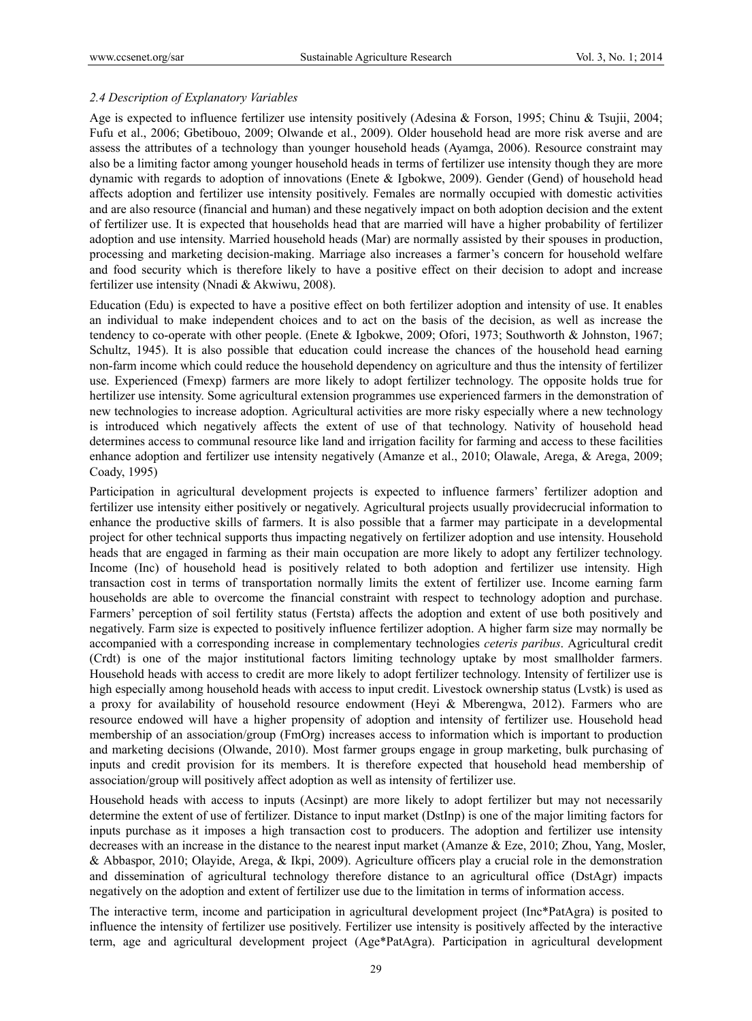#### *2.4 Description of Explanatory Variables*

Age is expected to influence fertilizer use intensity positively (Adesina & Forson, 1995; Chinu & Tsujii, 2004; Fufu et al., 2006; Gbetibouo, 2009; Olwande et al., 2009). Older household head are more risk averse and are assess the attributes of a technology than younger household heads (Ayamga, 2006). Resource constraint may also be a limiting factor among younger household heads in terms of fertilizer use intensity though they are more dynamic with regards to adoption of innovations (Enete & Igbokwe, 2009). Gender (Gend) of household head affects adoption and fertilizer use intensity positively. Females are normally occupied with domestic activities and are also resource (financial and human) and these negatively impact on both adoption decision and the extent of fertilizer use. It is expected that households head that are married will have a higher probability of fertilizer adoption and use intensity. Married household heads (Mar) are normally assisted by their spouses in production, processing and marketing decision-making. Marriage also increases a farmer's concern for household welfare and food security which is therefore likely to have a positive effect on their decision to adopt and increase fertilizer use intensity (Nnadi & Akwiwu, 2008).

Education (Edu) is expected to have a positive effect on both fertilizer adoption and intensity of use. It enables an individual to make independent choices and to act on the basis of the decision, as well as increase the tendency to co-operate with other people. (Enete & Igbokwe, 2009; Ofori, 1973; Southworth & Johnston, 1967; Schultz, 1945). It is also possible that education could increase the chances of the household head earning non-farm income which could reduce the household dependency on agriculture and thus the intensity of fertilizer use. Experienced (Fmexp) farmers are more likely to adopt fertilizer technology. The opposite holds true for hertilizer use intensity. Some agricultural extension programmes use experienced farmers in the demonstration of new technologies to increase adoption. Agricultural activities are more risky especially where a new technology is introduced which negatively affects the extent of use of that technology. Nativity of household head determines access to communal resource like land and irrigation facility for farming and access to these facilities enhance adoption and fertilizer use intensity negatively (Amanze et al., 2010; Olawale, Arega, & Arega, 2009; Coady, 1995)

Participation in agricultural development projects is expected to influence farmers' fertilizer adoption and fertilizer use intensity either positively or negatively. Agricultural projects usually providecrucial information to enhance the productive skills of farmers. It is also possible that a farmer may participate in a developmental project for other technical supports thus impacting negatively on fertilizer adoption and use intensity. Household heads that are engaged in farming as their main occupation are more likely to adopt any fertilizer technology. Income (Inc) of household head is positively related to both adoption and fertilizer use intensity. High transaction cost in terms of transportation normally limits the extent of fertilizer use. Income earning farm households are able to overcome the financial constraint with respect to technology adoption and purchase. Farmers' perception of soil fertility status (Fertsta) affects the adoption and extent of use both positively and negatively. Farm size is expected to positively influence fertilizer adoption. A higher farm size may normally be accompanied with a corresponding increase in complementary technologies *ceteris paribus*. Agricultural credit (Crdt) is one of the major institutional factors limiting technology uptake by most smallholder farmers. Household heads with access to credit are more likely to adopt fertilizer technology. Intensity of fertilizer use is high especially among household heads with access to input credit. Livestock ownership status (Lvstk) is used as a proxy for availability of household resource endowment (Heyi & Mberengwa, 2012). Farmers who are resource endowed will have a higher propensity of adoption and intensity of fertilizer use. Household head membership of an association/group (FmOrg) increases access to information which is important to production and marketing decisions (Olwande, 2010). Most farmer groups engage in group marketing, bulk purchasing of inputs and credit provision for its members. It is therefore expected that household head membership of association/group will positively affect adoption as well as intensity of fertilizer use.

Household heads with access to inputs (Acsinpt) are more likely to adopt fertilizer but may not necessarily determine the extent of use of fertilizer. Distance to input market (DstInp) is one of the major limiting factors for inputs purchase as it imposes a high transaction cost to producers. The adoption and fertilizer use intensity decreases with an increase in the distance to the nearest input market (Amanze & Eze, 2010; Zhou, Yang, Mosler, & Abbaspor, 2010; Olayide, Arega, & Ikpi, 2009). Agriculture officers play a crucial role in the demonstration and dissemination of agricultural technology therefore distance to an agricultural office (DstAgr) impacts negatively on the adoption and extent of fertilizer use due to the limitation in terms of information access.

The interactive term, income and participation in agricultural development project (Inc\*PatAgra) is posited to influence the intensity of fertilizer use positively. Fertilizer use intensity is positively affected by the interactive term, age and agricultural development project (Age\*PatAgra). Participation in agricultural development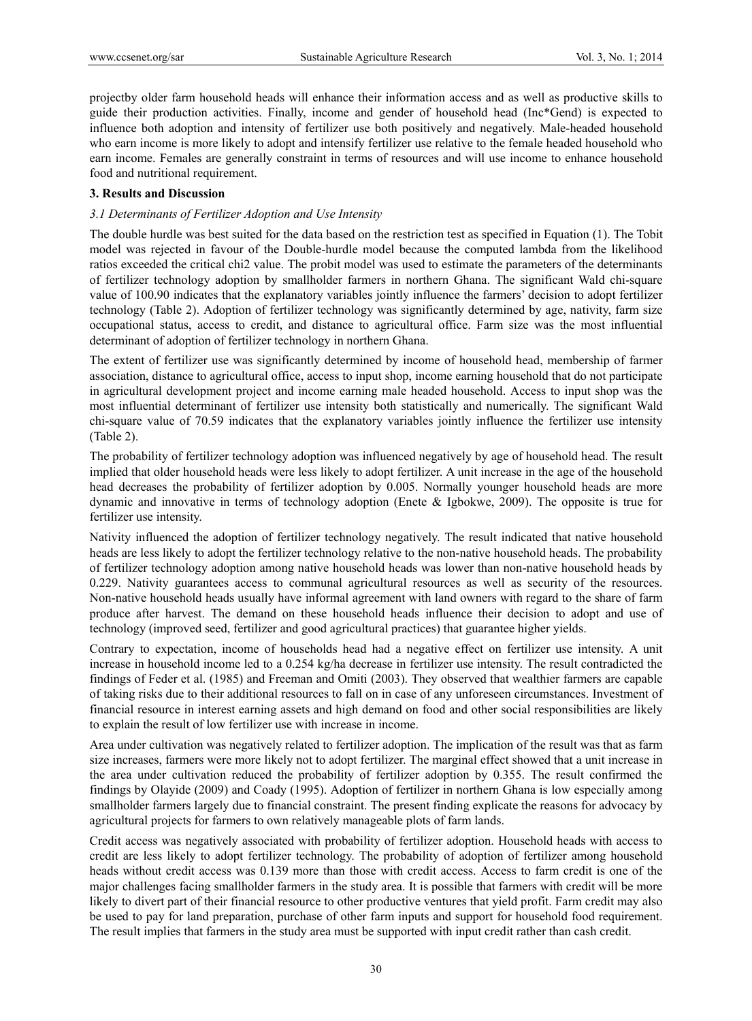projectby older farm household heads will enhance their information access and as well as productive skills to guide their production activities. Finally, income and gender of household head (Inc\*Gend) is expected to influence both adoption and intensity of fertilizer use both positively and negatively. Male-headed household who earn income is more likely to adopt and intensify fertilizer use relative to the female headed household who earn income. Females are generally constraint in terms of resources and will use income to enhance household food and nutritional requirement.

## **3. Results and Discussion**

## *3.1 Determinants of Fertilizer Adoption and Use Intensity*

The double hurdle was best suited for the data based on the restriction test as specified in Equation (1). The Tobit model was rejected in favour of the Double-hurdle model because the computed lambda from the likelihood ratios exceeded the critical chi2 value. The probit model was used to estimate the parameters of the determinants of fertilizer technology adoption by smallholder farmers in northern Ghana. The significant Wald chi-square value of 100.90 indicates that the explanatory variables jointly influence the farmers' decision to adopt fertilizer technology (Table 2). Adoption of fertilizer technology was significantly determined by age, nativity, farm size occupational status, access to credit, and distance to agricultural office. Farm size was the most influential determinant of adoption of fertilizer technology in northern Ghana.

The extent of fertilizer use was significantly determined by income of household head, membership of farmer association, distance to agricultural office, access to input shop, income earning household that do not participate in agricultural development project and income earning male headed household. Access to input shop was the most influential determinant of fertilizer use intensity both statistically and numerically. The significant Wald chi-square value of 70.59 indicates that the explanatory variables jointly influence the fertilizer use intensity (Table 2).

The probability of fertilizer technology adoption was influenced negatively by age of household head. The result implied that older household heads were less likely to adopt fertilizer. A unit increase in the age of the household head decreases the probability of fertilizer adoption by 0.005. Normally younger household heads are more dynamic and innovative in terms of technology adoption (Enete & Igbokwe, 2009). The opposite is true for fertilizer use intensity.

Nativity influenced the adoption of fertilizer technology negatively. The result indicated that native household heads are less likely to adopt the fertilizer technology relative to the non-native household heads. The probability of fertilizer technology adoption among native household heads was lower than non-native household heads by 0.229. Nativity guarantees access to communal agricultural resources as well as security of the resources. Non-native household heads usually have informal agreement with land owners with regard to the share of farm produce after harvest. The demand on these household heads influence their decision to adopt and use of technology (improved seed, fertilizer and good agricultural practices) that guarantee higher yields.

Contrary to expectation, income of households head had a negative effect on fertilizer use intensity. A unit increase in household income led to a 0.254 kg/ha decrease in fertilizer use intensity. The result contradicted the findings of Feder et al. (1985) and Freeman and Omiti (2003). They observed that wealthier farmers are capable of taking risks due to their additional resources to fall on in case of any unforeseen circumstances. Investment of financial resource in interest earning assets and high demand on food and other social responsibilities are likely to explain the result of low fertilizer use with increase in income.

Area under cultivation was negatively related to fertilizer adoption. The implication of the result was that as farm size increases, farmers were more likely not to adopt fertilizer. The marginal effect showed that a unit increase in the area under cultivation reduced the probability of fertilizer adoption by 0.355. The result confirmed the findings by Olayide (2009) and Coady (1995). Adoption of fertilizer in northern Ghana is low especially among smallholder farmers largely due to financial constraint. The present finding explicate the reasons for advocacy by agricultural projects for farmers to own relatively manageable plots of farm lands.

Credit access was negatively associated with probability of fertilizer adoption. Household heads with access to credit are less likely to adopt fertilizer technology. The probability of adoption of fertilizer among household heads without credit access was 0.139 more than those with credit access. Access to farm credit is one of the major challenges facing smallholder farmers in the study area. It is possible that farmers with credit will be more likely to divert part of their financial resource to other productive ventures that yield profit. Farm credit may also be used to pay for land preparation, purchase of other farm inputs and support for household food requirement. The result implies that farmers in the study area must be supported with input credit rather than cash credit.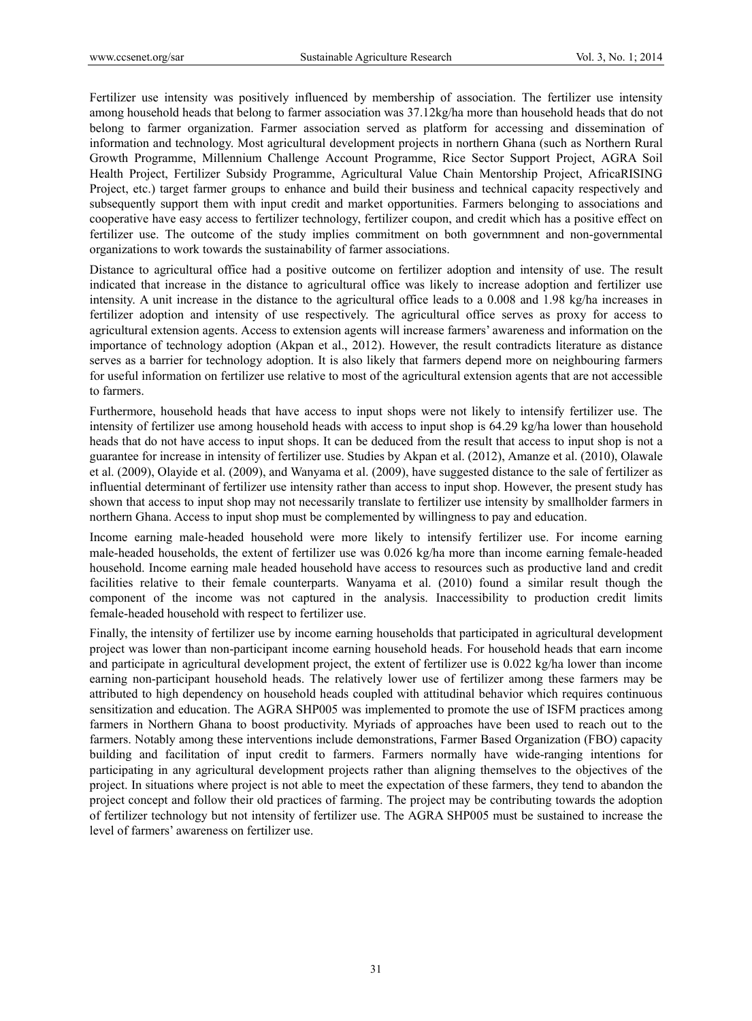Fertilizer use intensity was positively influenced by membership of association. The fertilizer use intensity among household heads that belong to farmer association was 37.12kg/ha more than household heads that do not belong to farmer organization. Farmer association served as platform for accessing and dissemination of information and technology. Most agricultural development projects in northern Ghana (such as Northern Rural Growth Programme, Millennium Challenge Account Programme, Rice Sector Support Project, AGRA Soil Health Project, Fertilizer Subsidy Programme, Agricultural Value Chain Mentorship Project, AfricaRISING Project, etc.) target farmer groups to enhance and build their business and technical capacity respectively and subsequently support them with input credit and market opportunities. Farmers belonging to associations and cooperative have easy access to fertilizer technology, fertilizer coupon, and credit which has a positive effect on fertilizer use. The outcome of the study implies commitment on both governmnent and non-governmental organizations to work towards the sustainability of farmer associations.

Distance to agricultural office had a positive outcome on fertilizer adoption and intensity of use. The result indicated that increase in the distance to agricultural office was likely to increase adoption and fertilizer use intensity. A unit increase in the distance to the agricultural office leads to a 0.008 and 1.98 kg/ha increases in fertilizer adoption and intensity of use respectively. The agricultural office serves as proxy for access to agricultural extension agents. Access to extension agents will increase farmers' awareness and information on the importance of technology adoption (Akpan et al., 2012). However, the result contradicts literature as distance serves as a barrier for technology adoption. It is also likely that farmers depend more on neighbouring farmers for useful information on fertilizer use relative to most of the agricultural extension agents that are not accessible to farmers.

Furthermore, household heads that have access to input shops were not likely to intensify fertilizer use. The intensity of fertilizer use among household heads with access to input shop is 64.29 kg/ha lower than household heads that do not have access to input shops. It can be deduced from the result that access to input shop is not a guarantee for increase in intensity of fertilizer use. Studies by Akpan et al. (2012), Amanze et al. (2010), Olawale et al. (2009), Olayide et al. (2009), and Wanyama et al. (2009), have suggested distance to the sale of fertilizer as influential determinant of fertilizer use intensity rather than access to input shop. However, the present study has shown that access to input shop may not necessarily translate to fertilizer use intensity by smallholder farmers in northern Ghana. Access to input shop must be complemented by willingness to pay and education.

Income earning male-headed household were more likely to intensify fertilizer use. For income earning male-headed households, the extent of fertilizer use was 0.026 kg/ha more than income earning female-headed household. Income earning male headed household have access to resources such as productive land and credit facilities relative to their female counterparts. Wanyama et al. (2010) found a similar result though the component of the income was not captured in the analysis. Inaccessibility to production credit limits female-headed household with respect to fertilizer use.

Finally, the intensity of fertilizer use by income earning households that participated in agricultural development project was lower than non-participant income earning household heads. For household heads that earn income and participate in agricultural development project, the extent of fertilizer use is 0.022 kg/ha lower than income earning non-participant household heads. The relatively lower use of fertilizer among these farmers may be attributed to high dependency on household heads coupled with attitudinal behavior which requires continuous sensitization and education. The AGRA SHP005 was implemented to promote the use of ISFM practices among farmers in Northern Ghana to boost productivity. Myriads of approaches have been used to reach out to the farmers. Notably among these interventions include demonstrations, Farmer Based Organization (FBO) capacity building and facilitation of input credit to farmers. Farmers normally have wide-ranging intentions for participating in any agricultural development projects rather than aligning themselves to the objectives of the project. In situations where project is not able to meet the expectation of these farmers, they tend to abandon the project concept and follow their old practices of farming. The project may be contributing towards the adoption of fertilizer technology but not intensity of fertilizer use. The AGRA SHP005 must be sustained to increase the level of farmers' awareness on fertilizer use.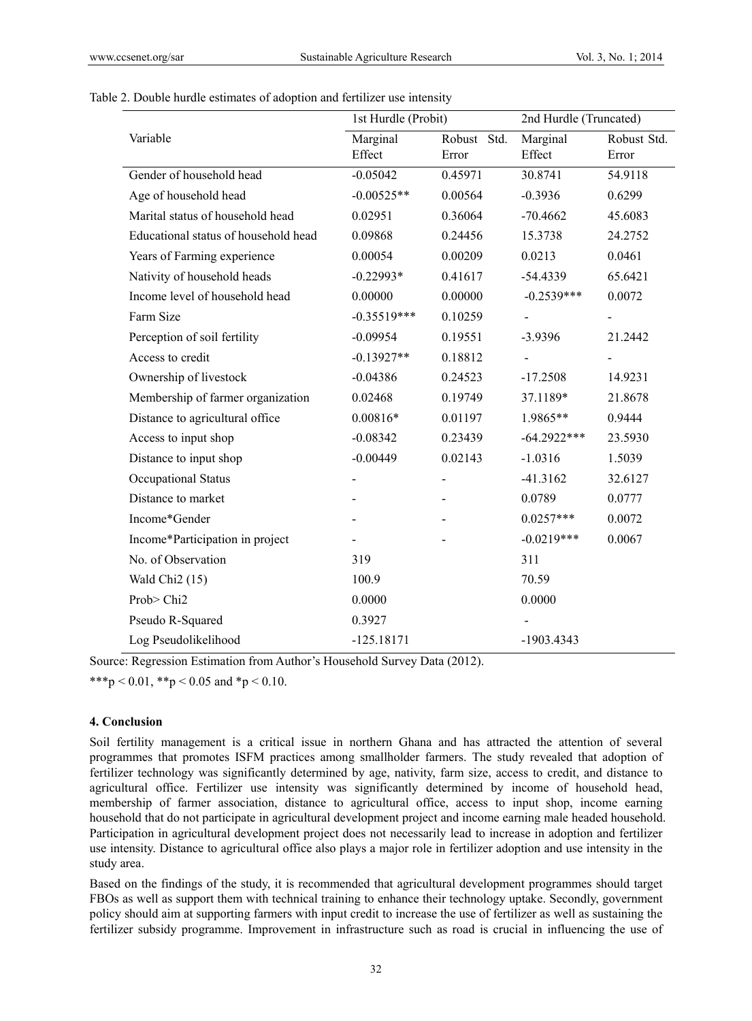|  |  | Table 2. Double hurdle estimates of adoption and fertilizer use intensity |
|--|--|---------------------------------------------------------------------------|
|  |  |                                                                           |

|                                      | 1st Hurdle (Probit) | 2nd Hurdle (Truncated) |               |             |  |
|--------------------------------------|---------------------|------------------------|---------------|-------------|--|
| Variable                             | Marginal            | Robust Std.            | Marginal      | Robust Std. |  |
|                                      | Effect              | Error                  | Effect        | Error       |  |
| Gender of household head             | $-0.05042$          | 0.45971                | 30.8741       | 54.9118     |  |
| Age of household head                | $-0.00525**$        | 0.00564                | $-0.3936$     | 0.6299      |  |
| Marital status of household head     | 0.02951             | 0.36064                | $-70.4662$    | 45.6083     |  |
| Educational status of household head | 0.09868             | 0.24456                | 15.3738       | 24.2752     |  |
| Years of Farming experience          | 0.00054             | 0.00209                | 0.0213        | 0.0461      |  |
| Nativity of household heads          | $-0.22993*$         | 0.41617                | $-54.4339$    | 65.6421     |  |
| Income level of household head       | 0.00000             | 0.00000                | $-0.2539***$  | 0.0072      |  |
| Farm Size                            | $-0.35519***$       | 0.10259                |               |             |  |
| Perception of soil fertility         | $-0.09954$          | 0.19551                | $-3.9396$     | 21.2442     |  |
| Access to credit                     | $-0.13927**$        | 0.18812                |               |             |  |
| Ownership of livestock               | $-0.04386$          | 0.24523                | $-17.2508$    | 14.9231     |  |
| Membership of farmer organization    | 0.02468             | 0.19749                | 37.1189*      | 21.8678     |  |
| Distance to agricultural office      | $0.00816*$          | 0.01197                | 1.9865**      | 0.9444      |  |
| Access to input shop                 | $-0.08342$          | 0.23439                | $-64.2922***$ | 23.5930     |  |
| Distance to input shop               | $-0.00449$          | 0.02143                | $-1.0316$     | 1.5039      |  |
| Occupational Status                  |                     |                        | $-41.3162$    | 32.6127     |  |
| Distance to market                   |                     |                        | 0.0789        | 0.0777      |  |
| Income*Gender                        |                     |                        | $0.0257***$   | 0.0072      |  |
| Income*Participation in project      |                     |                        | $-0.0219***$  | 0.0067      |  |
| No. of Observation                   | 319                 |                        | 311           |             |  |
| Wald Chi $2(15)$                     | 100.9               |                        | 70.59         |             |  |
| Prob> Chi2                           | 0.0000              |                        | 0.0000        |             |  |
| Pseudo R-Squared                     | 0.3927              |                        |               |             |  |
| Log Pseudolikelihood                 | $-125.18171$        |                        | -1903.4343    |             |  |

Source: Regression Estimation from Author's Household Survey Data (2012).

\*\*\*p < 0.01, \*\*p < 0.05 and \*p < 0.10.

#### **4. Conclusion**

Soil fertility management is a critical issue in northern Ghana and has attracted the attention of several programmes that promotes ISFM practices among smallholder farmers. The study revealed that adoption of fertilizer technology was significantly determined by age, nativity, farm size, access to credit, and distance to agricultural office. Fertilizer use intensity was significantly determined by income of household head, membership of farmer association, distance to agricultural office, access to input shop, income earning household that do not participate in agricultural development project and income earning male headed household. Participation in agricultural development project does not necessarily lead to increase in adoption and fertilizer use intensity. Distance to agricultural office also plays a major role in fertilizer adoption and use intensity in the study area.

Based on the findings of the study, it is recommended that agricultural development programmes should target FBOs as well as support them with technical training to enhance their technology uptake. Secondly, government policy should aim at supporting farmers with input credit to increase the use of fertilizer as well as sustaining the fertilizer subsidy programme. Improvement in infrastructure such as road is crucial in influencing the use of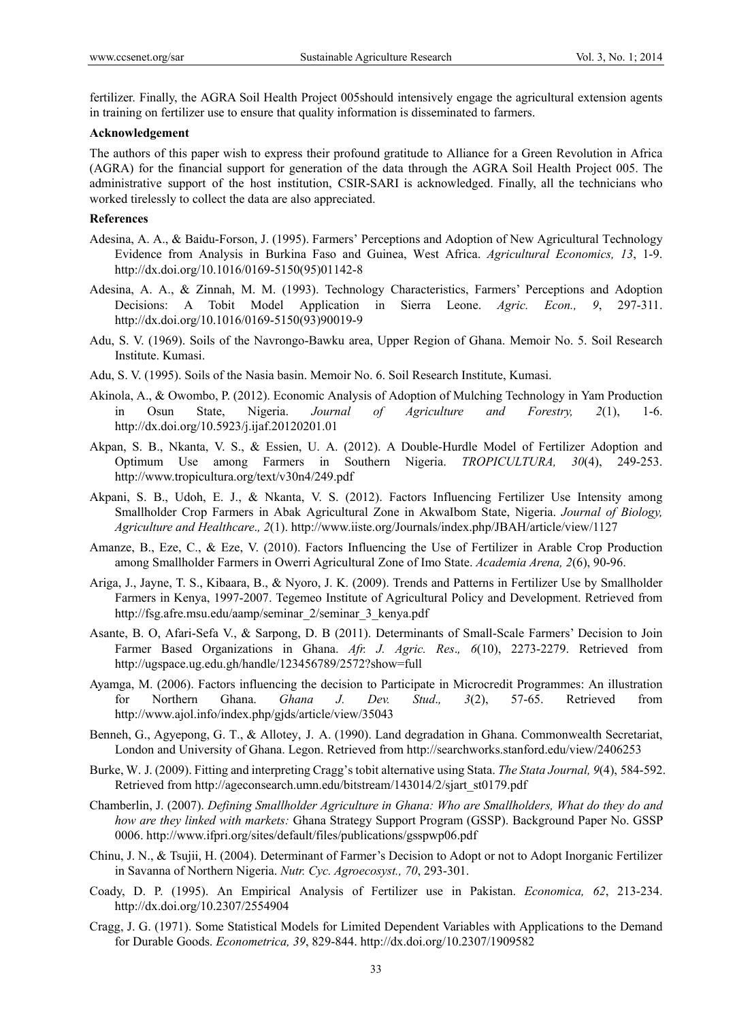fertilizer. Finally, the AGRA Soil Health Project 005should intensively engage the agricultural extension agents in training on fertilizer use to ensure that quality information is disseminated to farmers.

#### **Acknowledgement**

The authors of this paper wish to express their profound gratitude to Alliance for a Green Revolution in Africa (AGRA) for the financial support for generation of the data through the AGRA Soil Health Project 005. The administrative support of the host institution, CSIR-SARI is acknowledged. Finally, all the technicians who worked tirelessly to collect the data are also appreciated.

#### **References**

- Adesina, A. A., & Baidu-Forson, J. (1995). Farmers' Perceptions and Adoption of New Agricultural Technology Evidence from Analysis in Burkina Faso and Guinea, West Africa. *Agricultural Economics, 13*, 1-9. http://dx.doi.org/10.1016/0169-5150(95)01142-8
- Adesina, A. A., & Zinnah, M. M. (1993). Technology Characteristics, Farmers' Perceptions and Adoption Decisions: A Tobit Model Application in Sierra Leone. *Agric. Econ., 9*, 297-311. http://dx.doi.org/10.1016/0169-5150(93)90019-9
- Adu, S. V. (1969). Soils of the Navrongo-Bawku area, Upper Region of Ghana. Memoir No. 5. Soil Research Institute. Kumasi.
- Adu, S. V. (1995). Soils of the Nasia basin. Memoir No. 6. Soil Research Institute, Kumasi.
- Akinola, A., & Owombo, P. (2012). Economic Analysis of Adoption of Mulching Technology in Yam Production in Osun State, Nigeria. *Journal of Agriculture and Forestry, 2*(1), 1-6. http://dx.doi.org/10.5923/j.ijaf.20120201.01
- Akpan, S. B., Nkanta, V. S., & Essien, U. A. (2012). A Double-Hurdle Model of Fertilizer Adoption and Optimum Use among Farmers in Southern Nigeria. *TROPICULTURA, 30*(4), 249-253. http://www.tropicultura.org/text/v30n4/249.pdf
- Akpani, S. B., Udoh, E. J., & Nkanta, V. S. (2012). Factors Influencing Fertilizer Use Intensity among Smallholder Crop Farmers in Abak Agricultural Zone in AkwaIbom State, Nigeria. *Journal of Biology, Agriculture and Healthcare*.*, 2*(1). http://www.iiste.org/Journals/index.php/JBAH/article/view/1127
- Amanze, B., Eze, C., & Eze, V. (2010). Factors Influencing the Use of Fertilizer in Arable Crop Production among Smallholder Farmers in Owerri Agricultural Zone of Imo State. *Academia Arena, 2*(6), 90-96.
- Ariga, J., Jayne, T. S., Kibaara, B., & Nyoro, J. K. (2009). Trends and Patterns in Fertilizer Use by Smallholder Farmers in Kenya, 1997-2007. Tegemeo Institute of Agricultural Policy and Development. Retrieved from http://fsg.afre.msu.edu/aamp/seminar\_2/seminar\_3\_kenya.pdf
- Asante, B. O, Afari-Sefa V., & Sarpong, D. B (2011). Determinants of Small-Scale Farmers' Decision to Join Farmer Based Organizations in Ghana. *Afr. J. Agric. Res*.*, 6*(10), 2273-2279. Retrieved from http://ugspace.ug.edu.gh/handle/123456789/2572?show=full
- Ayamga, M. (2006). Factors influencing the decision to Participate in Microcredit Programmes: An illustration for Northern Ghana. *Ghana J. Dev. Stud*.*, 3*(2), 57-65. Retrieved from http://www.ajol.info/index.php/gjds/article/view/35043
- Benneh, G., Agyepong, G. T., & Allotey, J. A. (1990). Land degradation in Ghana. Commonwealth Secretariat, London and University of Ghana. Legon. Retrieved from http://searchworks.stanford.edu/view/2406253
- Burke, W. J. (2009). Fitting and interpreting Cragg's tobit alternative using Stata. *The Stata Journal, 9*(4), 584-592. Retrieved from http://ageconsearch.umn.edu/bitstream/143014/2/sjart\_st0179.pdf
- Chamberlin, J. (2007). *Defining Smallholder Agriculture in Ghana: Who are Smallholders, What do they do and how are they linked with markets:* Ghana Strategy Support Program (GSSP). Background Paper No. GSSP 0006. http://www.ifpri.org/sites/default/files/publications/gsspwp06.pdf
- Chinu, J. N., & Tsujii, H. (2004). Determinant of Farmer's Decision to Adopt or not to Adopt Inorganic Fertilizer in Savanna of Northern Nigeria. *Nutr. Cyc. Agroecosyst., 70*, 293-301.
- Coady, D. P. (1995). An Empirical Analysis of Fertilizer use in Pakistan. *Economica, 62*, 213-234. http://dx.doi.org/10.2307/2554904
- Cragg, J. G. (1971). Some Statistical Models for Limited Dependent Variables with Applications to the Demand for Durable Goods. *Econometrica, 39*, 829-844. http://dx.doi.org/10.2307/1909582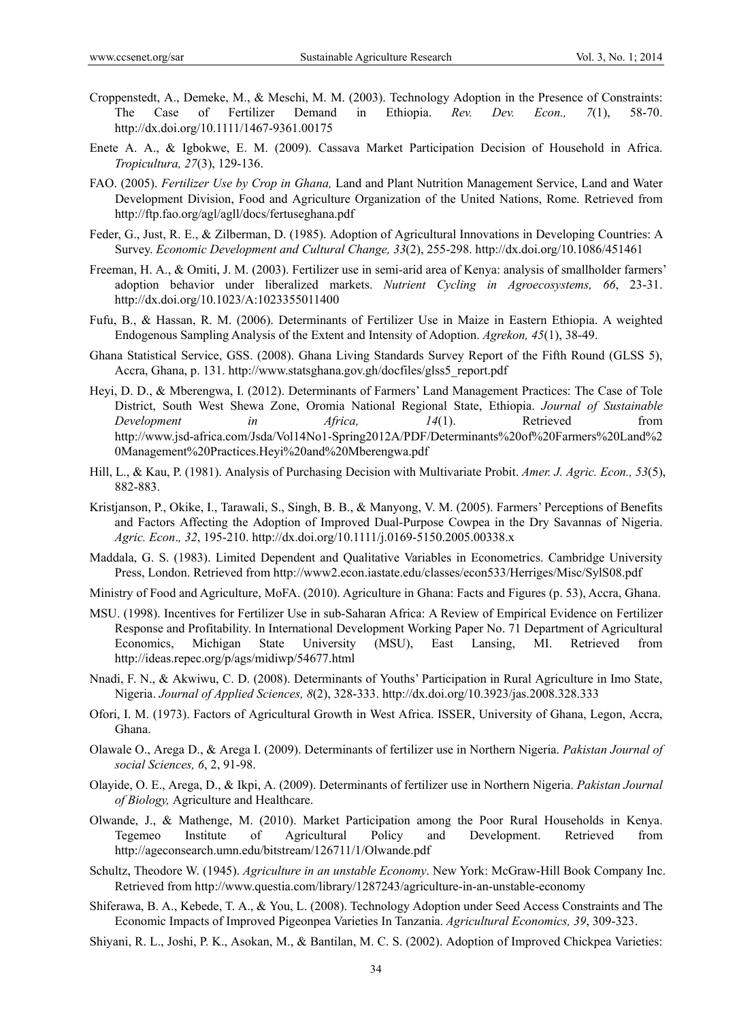- Croppenstedt, A., Demeke, M., & Meschi, M. M. (2003). Technology Adoption in the Presence of Constraints: The Case of Fertilizer Demand in Ethiopia. *Rev. Dev. Econ., 7*(1), 58-70. http://dx.doi.org/10.1111/1467-9361.00175
- Enete A. A., & Igbokwe, E. M. (2009). Cassava Market Participation Decision of Household in Africa. *Tropicultura, 27*(3), 129-136.
- FAO. (2005). *Fertilizer Use by Crop in Ghana,* Land and Plant Nutrition Management Service, Land and Water Development Division, Food and Agriculture Organization of the United Nations, Rome. Retrieved from http://ftp.fao.org/agl/agll/docs/fertuseghana.pdf
- Feder, G., Just, R. E., & Zilberman, D. (1985). Adoption of Agricultural Innovations in Developing Countries: A Survey. *Economic Development and Cultural Change, 33*(2), 255-298. http://dx.doi.org/10.1086/451461
- Freeman, H. A., & Omiti, J. M. (2003). Fertilizer use in semi-arid area of Kenya: analysis of smallholder farmers' adoption behavior under liberalized markets. *Nutrient Cycling in Agroecosystems, 66*, 23-31. http://dx.doi.org/10.1023/A:1023355011400
- Fufu, B., & Hassan, R. M. (2006). Determinants of Fertilizer Use in Maize in Eastern Ethiopia. A weighted Endogenous Sampling Analysis of the Extent and Intensity of Adoption. *Agrekon, 45*(1), 38-49.
- Ghana Statistical Service, GSS. (2008). Ghana Living Standards Survey Report of the Fifth Round (GLSS 5), Accra, Ghana, p. 131. http://www.statsghana.gov.gh/docfiles/glss5\_report.pdf
- Heyi, D. D., & Mberengwa, I. (2012). Determinants of Farmers' Land Management Practices: The Case of Tole District, South West Shewa Zone, Oromia National Regional State, Ethiopia. *Journal of Sustainable Development in Africa, 14*(1). Retrieved from http://www.jsd-africa.com/Jsda/Vol14No1-Spring2012A/PDF/Determinants%20of%20Farmers%20Land%2 0Management%20Practices.Heyi%20and%20Mberengwa.pdf
- Hill, L., & Kau, P. (1981). Analysis of Purchasing Decision with Multivariate Probit. *Amer. J. Agric. Econ., 53*(5), 882-883.
- Kristjanson, P., Okike, I., Tarawali, S., Singh, B. B., & Manyong, V. M. (2005). Farmers' Perceptions of Benefits and Factors Affecting the Adoption of Improved Dual-Purpose Cowpea in the Dry Savannas of Nigeria. *Agric. Econ*.*, 32*, 195-210. http://dx.doi.org/10.1111/j.0169-5150.2005.00338.x
- Maddala, G. S. (1983). Limited Dependent and Qualitative Variables in Econometrics. Cambridge University Press, London. Retrieved from http://www2.econ.iastate.edu/classes/econ533/Herriges/Misc/SylS08.pdf
- Ministry of Food and Agriculture, MoFA. (2010). Agriculture in Ghana: Facts and Figures (p. 53), Accra, Ghana.
- MSU. (1998). Incentives for Fertilizer Use in sub-Saharan Africa: A Review of Empirical Evidence on Fertilizer Response and Profitability. In International Development Working Paper No. 71 Department of Agricultural Economics, Michigan State University (MSU), East Lansing, MI. Retrieved from http://ideas.repec.org/p/ags/midiwp/54677.html
- Nnadi, F. N., & Akwiwu, C. D. (2008). Determinants of Youths' Participation in Rural Agriculture in Imo State, Nigeria. *Journal of Applied Sciences, 8*(2), 328-333. http://dx.doi.org/10.3923/jas.2008.328.333
- Ofori, I. M. (1973). Factors of Agricultural Growth in West Africa. ISSER, University of Ghana, Legon, Accra, Ghana.
- Olawale O., Arega D., & Arega I. (2009). Determinants of fertilizer use in Northern Nigeria. *Pakistan Journal of social Sciences, 6*, 2, 91-98.
- Olayide, O. E., Arega, D., & Ikpi, A. (2009). Determinants of fertilizer use in Northern Nigeria. *Pakistan Journal of Biology,* Agriculture and Healthcare.
- Olwande, J., & Mathenge, M. (2010). Market Participation among the Poor Rural Households in Kenya. Tegemeo Institute of Agricultural Policy and Development. Retrieved from http://ageconsearch.umn.edu/bitstream/126711/1/Olwande.pdf
- Schultz, Theodore W. (1945). *Agriculture in an unstable Economy*. New York: McGraw-Hill Book Company Inc. Retrieved from http://www.questia.com/library/1287243/agriculture-in-an-unstable-economy
- Shiferawa, B. A., Kebede, T. A., & You, L. (2008). Technology Adoption under Seed Access Constraints and The Economic Impacts of Improved Pigeonpea Varieties In Tanzania. *Agricultural Economics, 39*, 309-323.
- Shiyani, R. L., Joshi, P. K., Asokan, M., & Bantilan, M. C. S. (2002). Adoption of Improved Chickpea Varieties: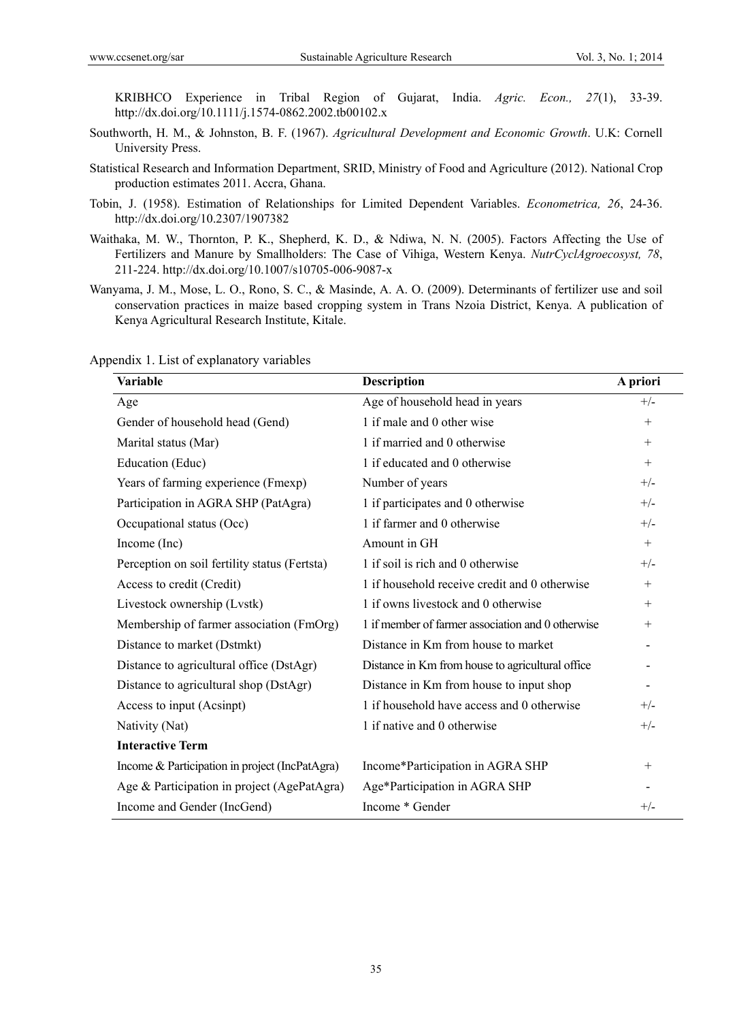KRIBHCO Experience in Tribal Region of Gujarat, India. *Agric. Econ., 27*(1), 33-39. http://dx.doi.org/10.1111/j.1574-0862.2002.tb00102.x

- Southworth, H. M., & Johnston, B. F. (1967). *Agricultural Development and Economic Growth*. U.K: Cornell University Press.
- Statistical Research and Information Department, SRID, Ministry of Food and Agriculture (2012). National Crop production estimates 2011. Accra, Ghana.
- Tobin, J. (1958). Estimation of Relationships for Limited Dependent Variables. *Econometrica, 26*, 24-36. http://dx.doi.org/10.2307/1907382
- Waithaka, M. W., Thornton, P. K., Shepherd, K. D., & Ndiwa, N. N. (2005). Factors Affecting the Use of Fertilizers and Manure by Smallholders: The Case of Vihiga, Western Kenya. *NutrCyclAgroecosyst, 78*, 211-224. http://dx.doi.org/10.1007/s10705-006-9087-x
- Wanyama, J. M., Mose, L. O., Rono, S. C., & Masinde, A. A. O. (2009). Determinants of fertilizer use and soil conservation practices in maize based cropping system in Trans Nzoia District, Kenya. A publication of Kenya Agricultural Research Institute, Kitale.

| Variable                                       | <b>Description</b>                                | A priori |
|------------------------------------------------|---------------------------------------------------|----------|
| Age                                            | Age of household head in years                    | $+/-$    |
| Gender of household head (Gend)                | 1 if male and 0 other wise                        | $+$      |
| Marital status (Mar)                           | 1 if married and 0 otherwise                      | $^{+}$   |
| Education (Educ)                               | 1 if educated and 0 otherwise                     | $+$      |
| Years of farming experience (Fmexp)            | Number of years                                   | $+/-$    |
| Participation in AGRA SHP (PatAgra)            | 1 if participates and 0 otherwise                 | $+/-$    |
| Occupational status (Occ)                      | 1 if farmer and 0 otherwise                       | $+/-$    |
| Income (Inc)                                   | Amount in GH                                      | $^{+}$   |
| Perception on soil fertility status (Fertsta)  | 1 if soil is rich and 0 otherwise                 | $+/-$    |
| Access to credit (Credit)                      | 1 if household receive credit and 0 otherwise     | $^{+}$   |
| Livestock ownership (Lvstk)                    | 1 if owns livestock and 0 otherwise               | $+$      |
| Membership of farmer association (FmOrg)       | 1 if member of farmer association and 0 otherwise | $^{+}$   |
| Distance to market (Dstmkt)                    | Distance in Km from house to market               |          |
| Distance to agricultural office (DstAgr)       | Distance in Km from house to agricultural office  |          |
| Distance to agricultural shop (DstAgr)         | Distance in Km from house to input shop           |          |
| Access to input (Acsinpt)                      | 1 if household have access and 0 otherwise        | $+/-$    |
| Nativity (Nat)                                 | 1 if native and 0 otherwise                       | $+/-$    |
| <b>Interactive Term</b>                        |                                                   |          |
| Income & Participation in project (IncPatAgra) | Income*Participation in AGRA SHP                  | $^{+}$   |
| Age & Participation in project (AgePatAgra)    | Age*Participation in AGRA SHP                     |          |
| Income and Gender (IncGend)                    | Income * Gender                                   | $+/-$    |

Appendix 1. List of explanatory variables